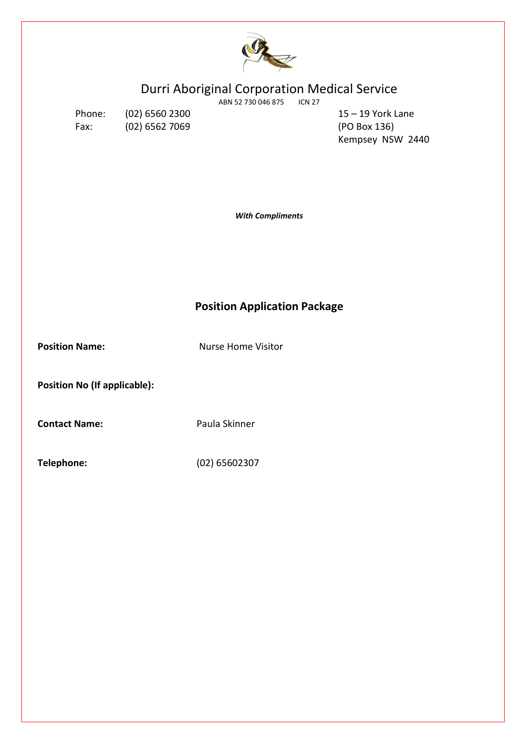

# Durri Aboriginal Corporation Medical Service

ABN 52 730 046 875 ICN 27

Fax: (02) 6562 7069 (PO Box 136)

Phone: (02) 6560 2300 15 – 19 York Lane Kempsey NSW 2440

*With Compliments*

# **Position Application Package**

**Position Name:** Nurse Home Visitor

**Position No (If applicable):**

**Contact Name:** Paula Skinner

**Telephone:** (02) 65602307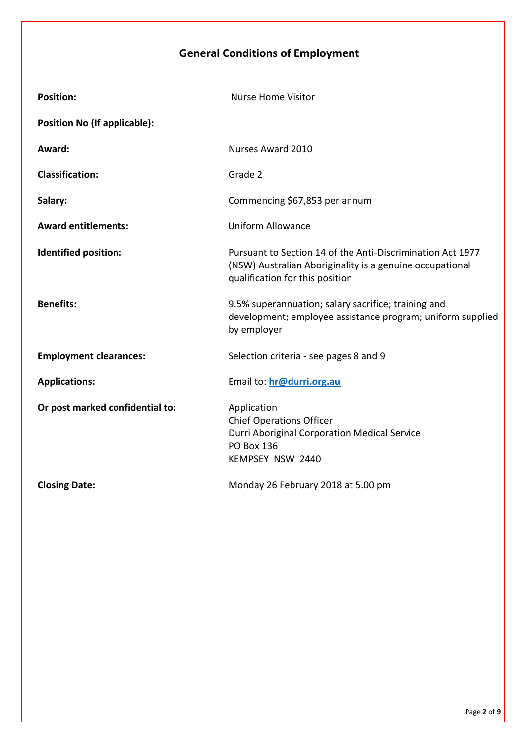# **General Conditions of Employment**

| <b>Position:</b>                    | <b>Nurse Home Visitor</b>                                                                                                                                 |
|-------------------------------------|-----------------------------------------------------------------------------------------------------------------------------------------------------------|
| <b>Position No (If applicable):</b> |                                                                                                                                                           |
| Award:                              | Nurses Award 2010                                                                                                                                         |
| <b>Classification:</b>              | Grade 2                                                                                                                                                   |
| Salary:                             | Commencing \$67,853 per annum                                                                                                                             |
| <b>Award entitlements:</b>          | <b>Uniform Allowance</b>                                                                                                                                  |
| <b>Identified position:</b>         | Pursuant to Section 14 of the Anti-Discrimination Act 1977<br>(NSW) Australian Aboriginality is a genuine occupational<br>qualification for this position |
| <b>Benefits:</b>                    | 9.5% superannuation; salary sacrifice; training and<br>development; employee assistance program; uniform supplied<br>by employer                          |
| <b>Employment clearances:</b>       | Selection criteria - see pages 8 and 9                                                                                                                    |
| <b>Applications:</b>                | Email to: hr@durri.org.au                                                                                                                                 |
| Or post marked confidential to:     | Application<br><b>Chief Operations Officer</b><br>Durri Aboriginal Corporation Medical Service<br>PO Box 136<br>KEMPSEY NSW 2440                          |
| <b>Closing Date:</b>                | Monday 26 February 2018 at 5.00 pm                                                                                                                        |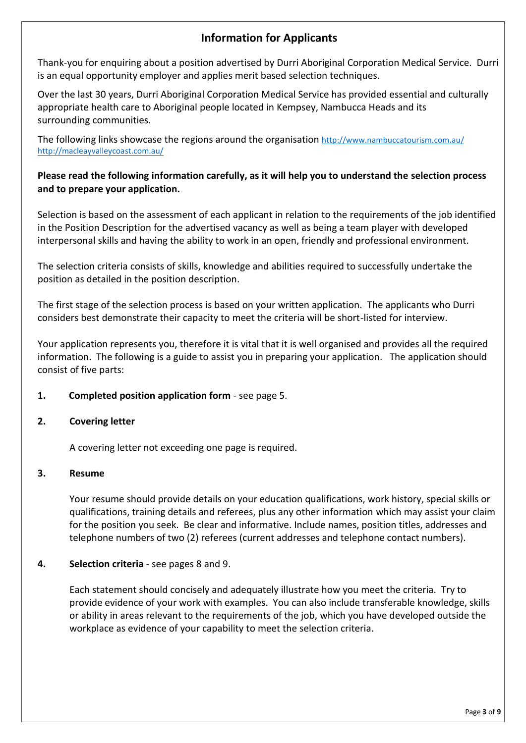# **Information for Applicants**

Thank-you for enquiring about a position advertised by Durri Aboriginal Corporation Medical Service. Durri is an equal opportunity employer and applies merit based selection techniques.

Over the last 30 years, Durri Aboriginal Corporation Medical Service has provided essential and culturally appropriate health care to Aboriginal people located in Kempsey, Nambucca Heads and its surrounding communities.

The following links showcase the regions around the organisation <http://www.nambuccatourism.com.au/> <http://macleayvalleycoast.com.au/>

# **Please read the following information carefully, as it will help you to understand the selection process and to prepare your application.**

Selection is based on the assessment of each applicant in relation to the requirements of the job identified in the Position Description for the advertised vacancy as well as being a team player with developed interpersonal skills and having the ability to work in an open, friendly and professional environment.

The selection criteria consists of skills, knowledge and abilities required to successfully undertake the position as detailed in the position description.

The first stage of the selection process is based on your written application. The applicants who Durri considers best demonstrate their capacity to meet the criteria will be short-listed for interview.

Your application represents you, therefore it is vital that it is well organised and provides all the required information. The following is a guide to assist you in preparing your application. The application should consist of five parts:

# **1. Completed position application form** - see page 5.

# **2. Covering letter**

A covering letter not exceeding one page is required.

# **3. Resume**

Your resume should provide details on your education qualifications, work history, special skills or qualifications, training details and referees, plus any other information which may assist your claim for the position you seek. Be clear and informative. Include names, position titles, addresses and telephone numbers of two (2) referees (current addresses and telephone contact numbers).

# **4. Selection criteria** - see pages 8 and 9.

Each statement should concisely and adequately illustrate how you meet the criteria. Try to provide evidence of your work with examples. You can also include transferable knowledge, skills or ability in areas relevant to the requirements of the job, which you have developed outside the workplace as evidence of your capability to meet the selection criteria.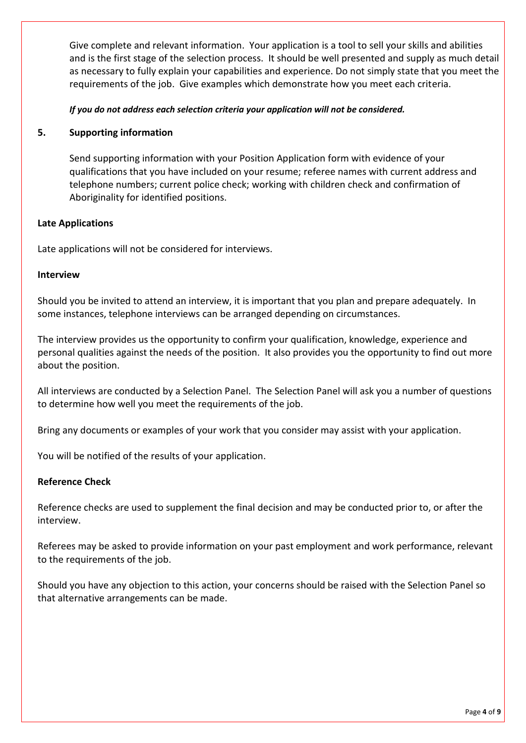Give complete and relevant information. Your application is a tool to sell your skills and abilities and is the first stage of the selection process. It should be well presented and supply as much detail as necessary to fully explain your capabilities and experience. Do not simply state that you meet the requirements of the job. Give examples which demonstrate how you meet each criteria.

# *If you do not address each selection criteria your application will not be considered.*

# **5. Supporting information**

Send supporting information with your Position Application form with evidence of your qualifications that you have included on your resume; referee names with current address and telephone numbers; current police check; working with children check and confirmation of Aboriginality for identified positions.

# **Late Applications**

Late applications will not be considered for interviews.

#### **Interview**

Should you be invited to attend an interview, it is important that you plan and prepare adequately. In some instances, telephone interviews can be arranged depending on circumstances.

The interview provides us the opportunity to confirm your qualification, knowledge, experience and personal qualities against the needs of the position. It also provides you the opportunity to find out more about the position.

All interviews are conducted by a Selection Panel. The Selection Panel will ask you a number of questions to determine how well you meet the requirements of the job.

Bring any documents or examples of your work that you consider may assist with your application.

You will be notified of the results of your application.

# **Reference Check**

Reference checks are used to supplement the final decision and may be conducted prior to, or after the interview.

Referees may be asked to provide information on your past employment and work performance, relevant to the requirements of the job.

Should you have any objection to this action, your concerns should be raised with the Selection Panel so that alternative arrangements can be made.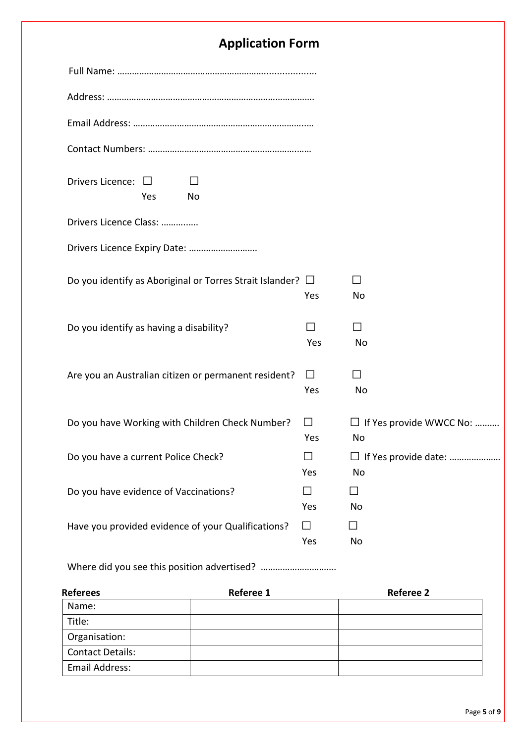# **Application Form**

| Drivers Licence: $\square$<br>$\mathbf{L}$<br>Yes<br>No<br>Drivers Licence Class:<br>Do you identify as Aboriginal or Torres Strait Islander? $\Box$<br>$\mathsf{L}$<br>Yes<br>No<br>Do you identify as having a disability?<br>Yes<br>No<br>Are you an Australian citizen or permanent resident?<br>$\Box$<br>Yes<br>No<br>Do you have Working with Children Check Number?<br>$\Box$<br>Yes<br>No<br>Do you have a current Police Check?<br>$\mathsf{L}$ |     |                                |
|-----------------------------------------------------------------------------------------------------------------------------------------------------------------------------------------------------------------------------------------------------------------------------------------------------------------------------------------------------------------------------------------------------------------------------------------------------------|-----|--------------------------------|
|                                                                                                                                                                                                                                                                                                                                                                                                                                                           |     |                                |
|                                                                                                                                                                                                                                                                                                                                                                                                                                                           |     |                                |
|                                                                                                                                                                                                                                                                                                                                                                                                                                                           |     |                                |
|                                                                                                                                                                                                                                                                                                                                                                                                                                                           |     |                                |
|                                                                                                                                                                                                                                                                                                                                                                                                                                                           |     |                                |
|                                                                                                                                                                                                                                                                                                                                                                                                                                                           |     |                                |
|                                                                                                                                                                                                                                                                                                                                                                                                                                                           |     |                                |
|                                                                                                                                                                                                                                                                                                                                                                                                                                                           |     |                                |
|                                                                                                                                                                                                                                                                                                                                                                                                                                                           |     |                                |
|                                                                                                                                                                                                                                                                                                                                                                                                                                                           |     |                                |
|                                                                                                                                                                                                                                                                                                                                                                                                                                                           |     | $\Box$ If Yes provide WWCC No: |
|                                                                                                                                                                                                                                                                                                                                                                                                                                                           | Yes | No                             |
| Do you have evidence of Vaccinations?<br>П<br>$\Box$<br>Yes<br>No                                                                                                                                                                                                                                                                                                                                                                                         |     |                                |
| Have you provided evidence of your Qualifications?<br>$\perp$<br>$\Box$<br>Yes<br>No                                                                                                                                                                                                                                                                                                                                                                      |     |                                |

Where did you see this position advertised? ……………………………………

| <b>Referees</b>         | <b>Referee 1</b> | <b>Referee 2</b> |
|-------------------------|------------------|------------------|
| Name:                   |                  |                  |
| Title:                  |                  |                  |
| Organisation:           |                  |                  |
| <b>Contact Details:</b> |                  |                  |
| Email Address:          |                  |                  |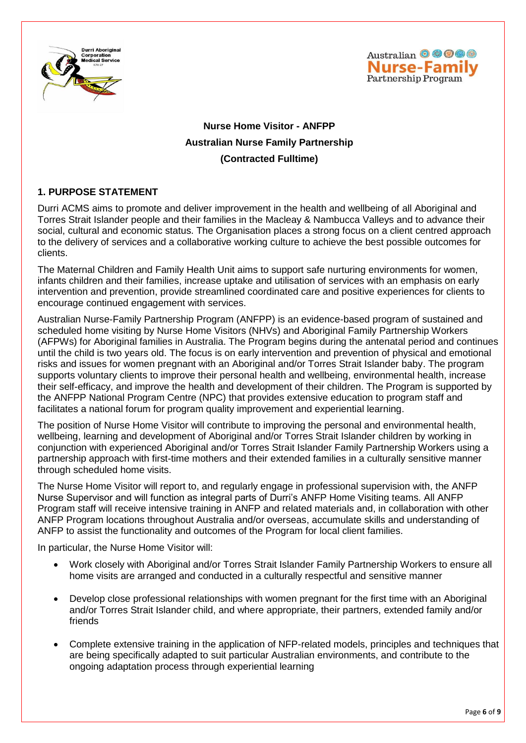



# **Nurse Home Visitor - ANFPP Australian Nurse Family Partnership (Contracted Fulltime)**

# **1. PURPOSE STATEMENT**

Durri ACMS aims to promote and deliver improvement in the health and wellbeing of all Aboriginal and Torres Strait Islander people and their families in the Macleay & Nambucca Valleys and to advance their social, cultural and economic status. The Organisation places a strong focus on a client centred approach to the delivery of services and a collaborative working culture to achieve the best possible outcomes for clients.

The Maternal Children and Family Health Unit aims to support safe nurturing environments for women, infants children and their families, increase uptake and utilisation of services with an emphasis on early intervention and prevention, provide streamlined coordinated care and positive experiences for clients to encourage continued engagement with services.

Australian Nurse-Family Partnership Program (ANFPP) is an evidence-based program of sustained and scheduled home visiting by Nurse Home Visitors (NHVs) and Aboriginal Family Partnership Workers (AFPWs) for Aboriginal families in Australia. The Program begins during the antenatal period and continues until the child is two years old. The focus is on early intervention and prevention of physical and emotional risks and issues for women pregnant with an Aboriginal and/or Torres Strait Islander baby. The program supports voluntary clients to improve their personal health and wellbeing, environmental health, increase their self-efficacy, and improve the health and development of their children. The Program is supported by the ANFPP National Program Centre (NPC) that provides extensive education to program staff and facilitates a national forum for program quality improvement and experiential learning.

The position of Nurse Home Visitor will contribute to improving the personal and environmental health, wellbeing, learning and development of Aboriginal and/or Torres Strait Islander children by working in conjunction with experienced Aboriginal and/or Torres Strait Islander Family Partnership Workers using a partnership approach with first-time mothers and their extended families in a culturally sensitive manner through scheduled home visits.

The Nurse Home Visitor will report to, and regularly engage in professional supervision with, the ANFP Nurse Supervisor and will function as integral parts of Durri's ANFP Home Visiting teams. All ANFP Program staff will receive intensive training in ANFP and related materials and, in collaboration with other ANFP Program locations throughout Australia and/or overseas, accumulate skills and understanding of ANFP to assist the functionality and outcomes of the Program for local client families.

In particular, the Nurse Home Visitor will:

- Work closely with Aboriginal and/or Torres Strait Islander Family Partnership Workers to ensure all home visits are arranged and conducted in a culturally respectful and sensitive manner
- Develop close professional relationships with women pregnant for the first time with an Aboriginal and/or Torres Strait Islander child, and where appropriate, their partners, extended family and/or friends
- Complete extensive training in the application of NFP-related models, principles and techniques that are being specifically adapted to suit particular Australian environments, and contribute to the ongoing adaptation process through experiential learning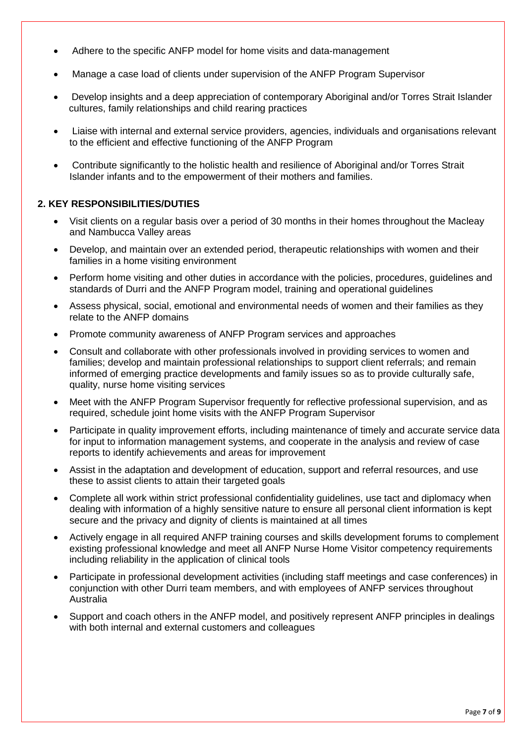- Adhere to the specific ANFP model for home visits and data-management
- Manage a case load of clients under supervision of the ANFP Program Supervisor
- Develop insights and a deep appreciation of contemporary Aboriginal and/or Torres Strait Islander cultures, family relationships and child rearing practices
- Liaise with internal and external service providers, agencies, individuals and organisations relevant to the efficient and effective functioning of the ANFP Program
- Contribute significantly to the holistic health and resilience of Aboriginal and/or Torres Strait Islander infants and to the empowerment of their mothers and families.

# **2. KEY RESPONSIBILITIES/DUTIES**

- Visit clients on a regular basis over a period of 30 months in their homes throughout the Macleay and Nambucca Valley areas
- Develop, and maintain over an extended period, therapeutic relationships with women and their families in a home visiting environment
- Perform home visiting and other duties in accordance with the policies, procedures, guidelines and standards of Durri and the ANFP Program model, training and operational guidelines
- Assess physical, social, emotional and environmental needs of women and their families as they relate to the ANFP domains
- Promote community awareness of ANFP Program services and approaches
- Consult and collaborate with other professionals involved in providing services to women and families; develop and maintain professional relationships to support client referrals; and remain informed of emerging practice developments and family issues so as to provide culturally safe, quality, nurse home visiting services
- Meet with the ANFP Program Supervisor frequently for reflective professional supervision, and as required, schedule joint home visits with the ANFP Program Supervisor
- Participate in quality improvement efforts, including maintenance of timely and accurate service data for input to information management systems, and cooperate in the analysis and review of case reports to identify achievements and areas for improvement
- Assist in the adaptation and development of education, support and referral resources, and use these to assist clients to attain their targeted goals
- Complete all work within strict professional confidentiality guidelines, use tact and diplomacy when dealing with information of a highly sensitive nature to ensure all personal client information is kept secure and the privacy and dignity of clients is maintained at all times
- Actively engage in all required ANFP training courses and skills development forums to complement existing professional knowledge and meet all ANFP Nurse Home Visitor competency requirements including reliability in the application of clinical tools
- Participate in professional development activities (including staff meetings and case conferences) in conjunction with other Durri team members, and with employees of ANFP services throughout Australia
- Support and coach others in the ANFP model, and positively represent ANFP principles in dealings with both internal and external customers and colleagues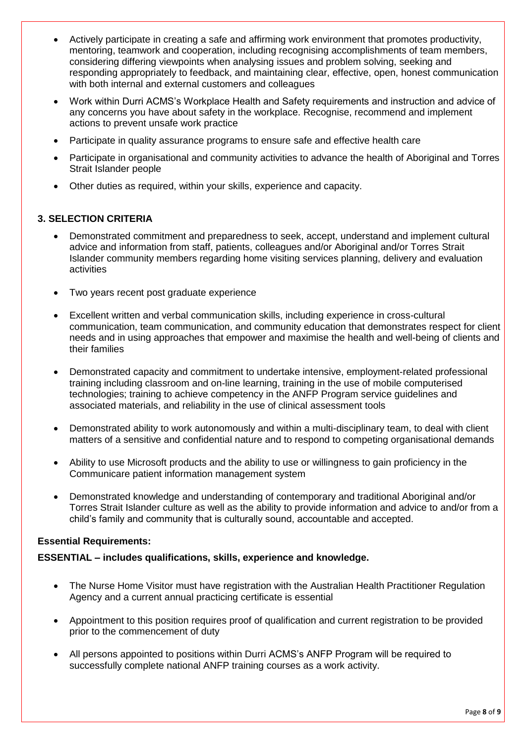- Actively participate in creating a safe and affirming work environment that promotes productivity, mentoring, teamwork and cooperation, including recognising accomplishments of team members, considering differing viewpoints when analysing issues and problem solving, seeking and responding appropriately to feedback, and maintaining clear, effective, open, honest communication with both internal and external customers and colleagues
- Work within Durri ACMS's Workplace Health and Safety requirements and instruction and advice of any concerns you have about safety in the workplace. Recognise, recommend and implement actions to prevent unsafe work practice
- Participate in quality assurance programs to ensure safe and effective health care
- Participate in organisational and community activities to advance the health of Aboriginal and Torres Strait Islander people
- Other duties as required, within your skills, experience and capacity.

# **3. SELECTION CRITERIA**

- Demonstrated commitment and preparedness to seek, accept, understand and implement cultural advice and information from staff, patients, colleagues and/or Aboriginal and/or Torres Strait Islander community members regarding home visiting services planning, delivery and evaluation activities
- Two years recent post graduate experience
- Excellent written and verbal communication skills, including experience in cross-cultural communication, team communication, and community education that demonstrates respect for client needs and in using approaches that empower and maximise the health and well-being of clients and their families
- Demonstrated capacity and commitment to undertake intensive, employment-related professional training including classroom and on-line learning, training in the use of mobile computerised technologies; training to achieve competency in the ANFP Program service guidelines and associated materials, and reliability in the use of clinical assessment tools
- Demonstrated ability to work autonomously and within a multi-disciplinary team, to deal with client matters of a sensitive and confidential nature and to respond to competing organisational demands
- Ability to use Microsoft products and the ability to use or willingness to gain proficiency in the Communicare patient information management system
- Demonstrated knowledge and understanding of contemporary and traditional Aboriginal and/or Torres Strait Islander culture as well as the ability to provide information and advice to and/or from a child's family and community that is culturally sound, accountable and accepted.

# **Essential Requirements:**

# **ESSENTIAL – includes qualifications, skills, experience and knowledge.**

- The Nurse Home Visitor must have registration with the Australian Health Practitioner Regulation Agency and a current annual practicing certificate is essential
- Appointment to this position requires proof of qualification and current registration to be provided prior to the commencement of duty
- All persons appointed to positions within Durri ACMS's ANFP Program will be required to successfully complete national ANFP training courses as a work activity.